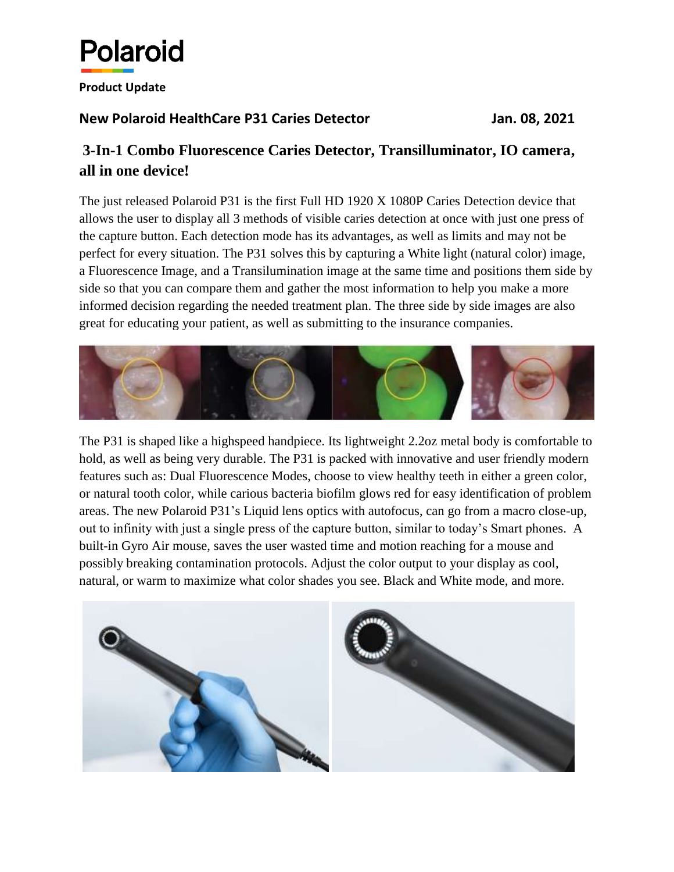

## **Product Update**

## **New Polaroid HealthCare P31 Caries Detector Jan. 08, 2021**

## **3-In-1 Combo Fluorescence Caries Detector, Transilluminator, IO camera, all in one device!**

The just released Polaroid P31 is the first Full HD 1920 X 1080P Caries Detection device that allows the user to display all 3 methods of visible caries detection at once with just one press of the capture button. Each detection mode has its advantages, as well as limits and may not be perfect for every situation. The P31 solves this by capturing a White light (natural color) image, a Fluorescence Image, and a Transilumination image at the same time and positions them side by side so that you can compare them and gather the most information to help you make a more informed decision regarding the needed treatment plan. The three side by side images are also great for educating your patient, as well as submitting to the insurance companies.



The P31 is shaped like a highspeed handpiece. Its lightweight 2.2oz metal body is comfortable to hold, as well as being very durable. The P31 is packed with innovative and user friendly modern features such as: Dual Fluorescence Modes, choose to view healthy teeth in either a green color, or natural tooth color, while carious bacteria biofilm glows red for easy identification of problem areas. The new Polaroid P31's Liquid lens optics with autofocus, can go from a macro close-up, out to infinity with just a single press of the capture button, similar to today's Smart phones. A built-in Gyro Air mouse, saves the user wasted time and motion reaching for a mouse and possibly breaking contamination protocols. Adjust the color output to your display as cool, natural, or warm to maximize what color shades you see. Black and White mode, and more.